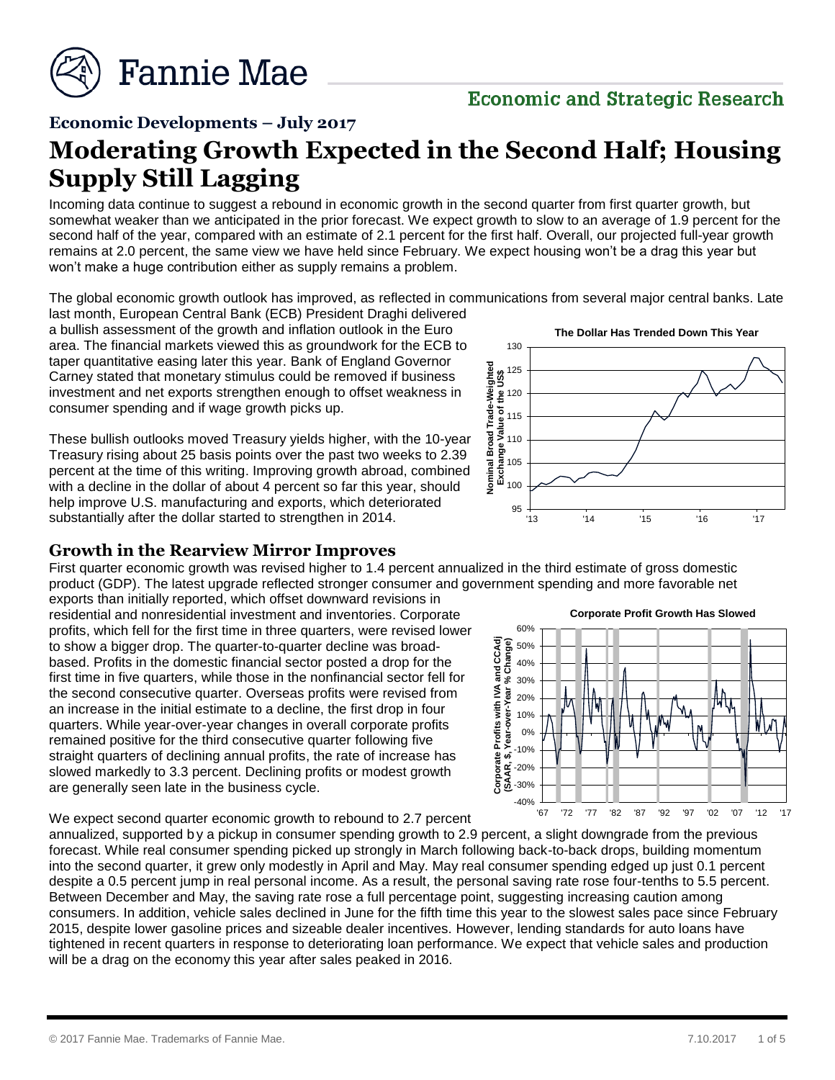

# **Economic and Strategic Research**

**Economic Developments – July 2017**

# **Moderating Growth Expected in the Second Half; Housing Supply Still Lagging**

Incoming data continue to suggest a rebound in economic growth in the second quarter from first quarter growth, but somewhat weaker than we anticipated in the prior forecast. We expect growth to slow to an average of 1.9 percent for the second half of the year, compared with an estimate of 2.1 percent for the first half. Overall, our projected full-year growth remains at 2.0 percent, the same view we have held since February. We expect housing won't be a drag this year but won't make a huge contribution either as supply remains a problem.

The global economic growth outlook has improved, as reflected in communications from several major central banks. Late

last month, European Central Bank (ECB) President Draghi delivered a bullish assessment of the growth and inflation outlook in the Euro area. The financial markets viewed this as groundwork for the ECB to taper quantitative easing later this year. Bank of England Governor Carney stated that monetary stimulus could be removed if business investment and net exports strengthen enough to offset weakness in consumer spending and if wage growth picks up.

These bullish outlooks moved Treasury yields higher, with the 10-year Treasury rising about 25 basis points over the past two weeks to 2.39 percent at the time of this writing. Improving growth abroad, combined with a decline in the dollar of about 4 percent so far this year, should help improve U.S. manufacturing and exports, which deteriorated substantially after the dollar started to strengthen in 2014.

#### **Growth in the Rearview Mirror Improves**

First quarter economic growth was revised higher to 1.4 percent annualized in the third estimate of gross domestic product (GDP). The latest upgrade reflected stronger consumer and government spending and more favorable net

exports than initially reported, which offset downward revisions in residential and nonresidential investment and inventories. Corporate profits, which fell for the first time in three quarters, were revised lower to show a bigger drop. The quarter-to-quarter decline was broadbased. Profits in the domestic financial sector posted a drop for the first time in five quarters, while those in the nonfinancial sector fell for the second consecutive quarter. Overseas profits were revised from an increase in the initial estimate to a decline, the first drop in four quarters. While year-over-year changes in overall corporate profits remained positive for the third consecutive quarter following five straight quarters of declining annual profits, the rate of increase has slowed markedly to 3.3 percent. Declining profits or modest growth are generally seen late in the business cycle.

We expect second quarter economic growth to rebound to 2.7 percent





annualized, supported by a pickup in consumer spending growth to 2.9 percent, a slight downgrade from the previous forecast. While real consumer spending picked up strongly in March following back-to-back drops, building momentum into the second quarter, it grew only modestly in April and May. May real consumer spending edged up just 0.1 percent despite a 0.5 percent jump in real personal income. As a result, the personal saving rate rose four-tenths to 5.5 percent. Between December and May, the saving rate rose a full percentage point, suggesting increasing caution among consumers. In addition, vehicle sales declined in June for the fifth time this year to the slowest sales pace since February 2015, despite lower gasoline prices and sizeable dealer incentives. However, lending standards for auto loans have tightened in recent quarters in response to deteriorating loan performance. We expect that vehicle sales and production will be a drag on the economy this year after sales peaked in 2016.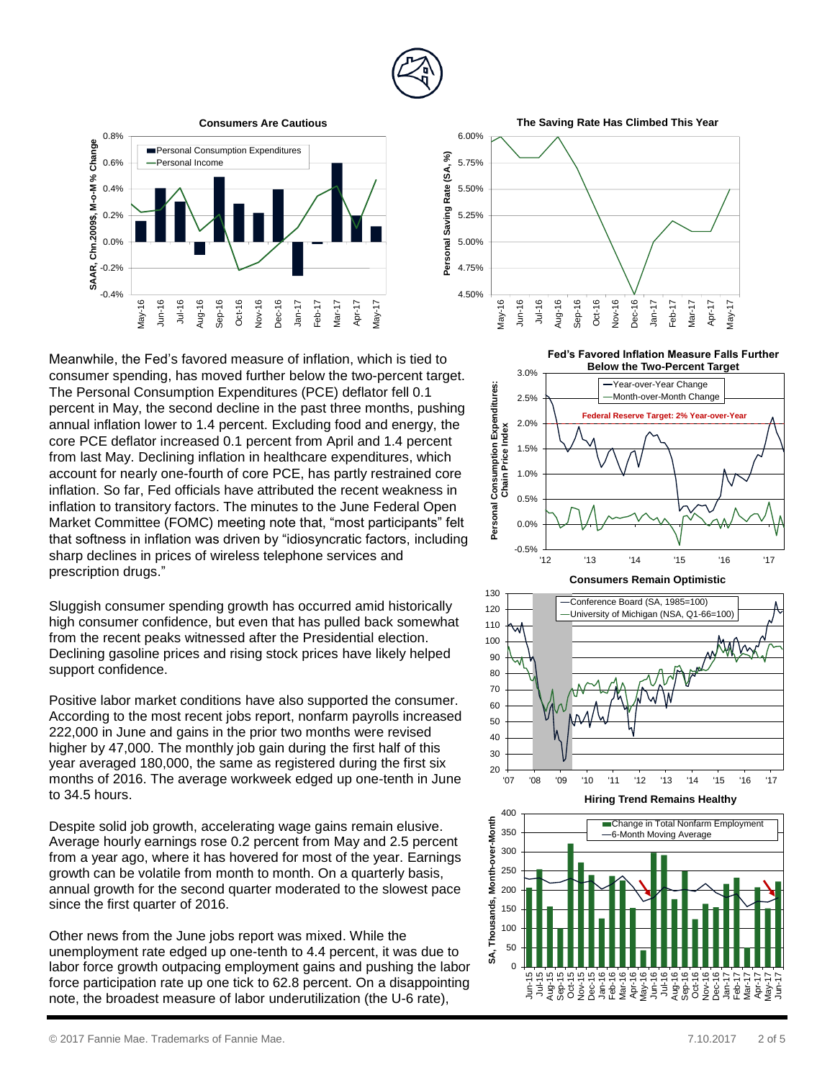



Meanwhile, the Fed' s favored measure of inflation, which is tied to consumer spending, has moved further below the two -percent target. The Personal Consumption Expenditures (PC E ) deflator fell 0.1 percent in May, the second decline in the past three months, pushing annual inflation lower to 1.4 percent. Excluding food and energy, the core PCE deflator increased 0.1 percent from April and 1.4 percent from last May. Declining inflation in healthcare expenditures, which account for nearly one -fourth of core PCE, has partly restrained core inflation. So far, Fed officials have attributed the recent weakness in inflation to transitory factors. The minutes to the June Federal Open Market Committee (FOMC) meeting note that, "most participants" felt that softness in inflation was driven by "idiosyncratic factors, including sharp declines in prices of wireless telephone services and prescription drugs ."

Sluggish consumer spending growth has occurred amid historically high consumer confidence, but even that has pulled back somewhat from the recent peaks witnessed after the Presidential election. Declining gasoline prices and rising stock prices have likely helped support confidence.

Positive labor market conditions have also supported the consumer. According to the most recent jobs report , nonfarm payrolls increased 222,000 in June and gains in the prior two months were revised higher by 47,000. The monthly job gain during the first half of this year averaged 180,000, the same as registered during the first six months of 2016. The average workweek edged up one -tenth in June to 34.5 hours.

Despite solid job growth, accelerating wage gains remain elusive. Average hourly earnings rose 0.2 percent from May and 2.5 percent from a year ago, where it has hovered for most of the year. Earnings growth can be volatile from month to month. On a quarterly basis, annual growth for the second quarter moderated to the slowest pace since the first quarter of 2016.

Other news from the June jobs report was mixed. While the unemployment rate edged up one-tenth to 4.4 percent, it was due to labor force growth outpacing employment gain s and pushing the labor force participation rate up one tick to 62.8 percent. On a disappointing note, the broadest measure of labor underutilization (the U -6 rate),

4.50%  $\frac{1}{\frac{9}{25}}$ 4.75% 5.00% 5.25% 5.50% 5.75% 6.00% May-16 Jul-16 Jul-16 Jul-16 Sep-16 Oct-16 Nov-16 Personal Saving Rate (SA, %)<br> **A** 4.50%<br> **A** 4.50%<br> **A** 4.50%<br> **Personal Saving Personal Saving Rate (SA, %)**<br> **Personal Saving Personal Saving Rate (SA, %)**<br> **Personal Savi** 

**The Saving Rate Has Climbed This Year**

**Fed's Favored Inflation Measure Falls Further** 







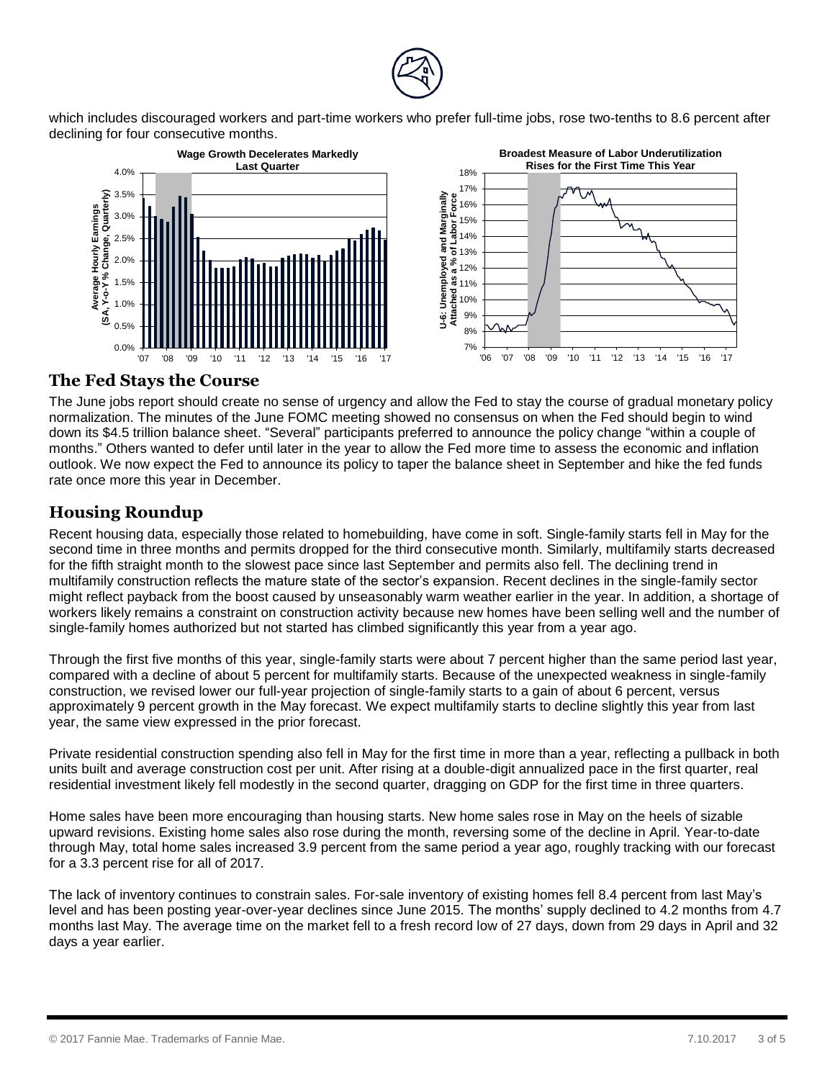

which includes discouraged workers and part-time workers who prefer full-time jobs, rose two-tenths to 8.6 percent after declining for four consecutive months.



#### **The Fed Stays the Course**

The June jobs report should create no sense of urgency and allow the Fed to stay the course of gradual monetary policy normalization. The minutes of the June FOMC meeting showed no consensus on when the Fed should begin to wind down its \$4.5 trillion balance sheet. "Several" participants preferred to announce the policy change "within a couple of months." Others wanted to defer until later in the year to allow the Fed more time to assess the economic and inflation outlook. We now expect the Fed to announce its policy to taper the balance sheet in September and hike the fed funds rate once more this year in December.

### **Housing Roundup**

Recent housing data, especially those related to homebuilding, have come in soft. Single-family starts fell in May for the second time in three months and permits dropped for the third consecutive month. Similarly, multifamily starts decreased for the fifth straight month to the slowest pace since last September and permits also fell. The declining trend in multifamily construction reflects the mature state of the sector's expansion. Recent declines in the single-family sector might reflect payback from the boost caused by unseasonably warm weather earlier in the year. In addition, a shortage of workers likely remains a constraint on construction activity because new homes have been selling well and the number of single-family homes authorized but not started has climbed significantly this year from a year ago.

Through the first five months of this year, single-family starts were about 7 percent higher than the same period last year, compared with a decline of about 5 percent for multifamily starts. Because of the unexpected weakness in single-family construction, we revised lower our full-year projection of single-family starts to a gain of about 6 percent, versus approximately 9 percent growth in the May forecast. We expect multifamily starts to decline slightly this year from last year, the same view expressed in the prior forecast.

Private residential construction spending also fell in May for the first time in more than a year, reflecting a pullback in both units built and average construction cost per unit. After rising at a double-digit annualized pace in the first quarter, real residential investment likely fell modestly in the second quarter, dragging on GDP for the first time in three quarters.

Home sales have been more encouraging than housing starts. New home sales rose in May on the heels of sizable upward revisions. Existing home sales also rose during the month, reversing some of the decline in April. Year-to-date through May, total home sales increased 3.9 percent from the same period a year ago, roughly tracking with our forecast for a 3.3 percent rise for all of 2017.

The lack of inventory continues to constrain sales. For-sale inventory of existing homes fell 8.4 percent from last May's level and has been posting year-over-year declines since June 2015. The months' supply declined to 4.2 months from 4.7 months last May. The average time on the market fell to a fresh record low of 27 days, down from 29 days in April and 32 days a year earlier.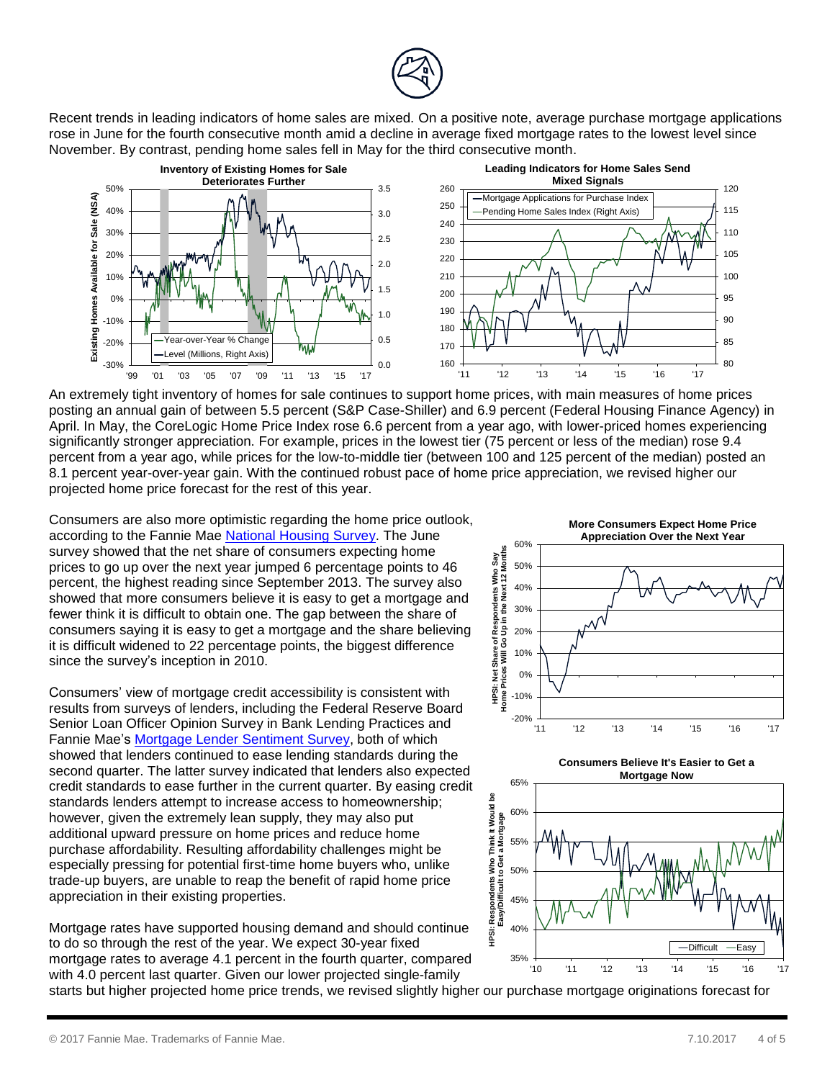

Recent trends in leading indicators of home sales are mixed. On a positive note, average purchase mortgage applications rose in June for the fourth consecutive month amid a decline in average fixed mortgage rates to the lowest level since November. By contrast, pending home sales fell in May for the third consecutive month.



An extremely tight inventory of homes for sale continues to support home prices, with main measures of home prices posting an annual gain of between 5.5 percent (S&P Case-Shiller) and 6.9 percent (Federal Housing Finance Agency) in April. In May, the CoreLogic Home Price Index rose 6.6 percent from a year ago, with lower-priced homes experiencing significantly stronger appreciation. For example, prices in the lowest tier (75 percent or less of the median) rose 9.4 percent from a year ago, while prices for the low-to-middle tier (between 100 and 125 percent of the median) posted an 8.1 percent year-over-year gain. With the continued robust pace of home price appreciation, we revised higher our projected home price forecast for the rest of this year.

Consumers are also more optimistic regarding the home price outlook, according to the Fannie Mae [National Housing Survey.](http://fanniemae.com/portal/research-insights/surveys/national-housing-survey.html) The June survey showed that the net share of consumers expecting home prices to go up over the next year jumped 6 percentage points to 46 percent, the highest reading since September 2013. The survey also showed that more consumers believe it is easy to get a mortgage and fewer think it is difficult to obtain one. The gap between the share of consumers saying it is easy to get a mortgage and the share believing it is difficult widened to 22 percentage points, the biggest difference since the survey's inception in 2010.

Consumers' view of mortgage credit accessibility is consistent with results from surveys of lenders, including the Federal Reserve Board Senior Loan Officer Opinion Survey in Bank Lending Practices and Fannie Mae's [Mortgage Lender Sentiment Survey,](http://fanniemae.com/portal/research-insights/surveys/mortgage-lender-sentiment-survey.html) both of which showed that lenders continued to ease lending standards during the second quarter. The latter survey indicated that lenders also expected credit standards to ease further in the current quarter. By easing credit standards lenders attempt to increase access to homeownership; however, given the extremely lean supply, they may also put additional upward pressure on home prices and reduce home purchase affordability. Resulting affordability challenges might be especially pressing for potential first-time home buyers who, unlike trade-up buyers, are unable to reap the benefit of rapid home price appreciation in their existing properties.

Mortgage rates have supported housing demand and should continue to do so through the rest of the year. We expect 30-year fixed mortgage rates to average 4.1 percent in the fourth quarter, compared with 4.0 percent last quarter. Given our lower projected single-family





**Consumers Believe It's Easier to Get a Mortgage Now**